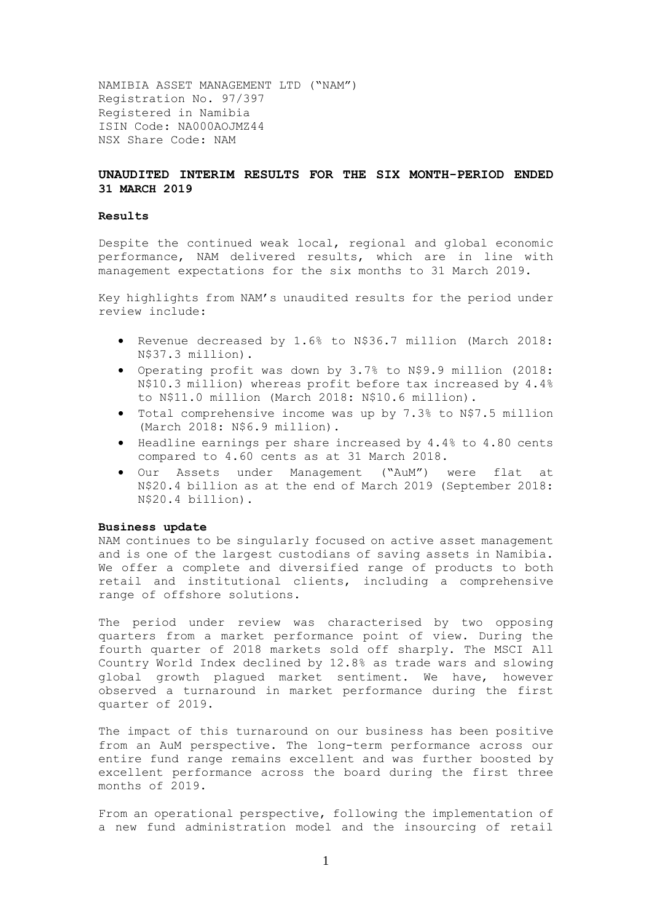NAMIBIA ASSET MANAGEMENT LTD ("NAM") Registration No. 97/397 Registered in Namibia ISIN Code: NA000AOJMZ44 NSX Share Code: NAM

## **UNAUDITED INTERIM RESULTS FOR THE SIX MONTH-PERIOD ENDED 31 MARCH 2019**

#### **Results**

Despite the continued weak local, regional and global economic performance, NAM delivered results, which are in line with management expectations for the six months to 31 March 2019.

Key highlights from NAM's unaudited results for the period under review include:

- Revenue decreased by 1.6% to N\$36.7 million (March 2018: N\$37.3 million).
- Operating profit was down by 3.7% to N\$9.9 million (2018: N\$10.3 million) whereas profit before tax increased by 4.4% to N\$11.0 million (March 2018: N\$10.6 million).
- Total comprehensive income was up by 7.3% to N\$7.5 million (March 2018: N\$6.9 million).
- Headline earnings per share increased by 4.4% to 4.80 cents compared to 4.60 cents as at 31 March 2018.
- Our Assets under Management ("AuM") were flat at N\$20.4 billion as at the end of March 2019 (September 2018: N\$20.4 billion).

### **Business update**

NAM continues to be singularly focused on active asset management and is one of the largest custodians of saving assets in Namibia. We offer a complete and diversified range of products to both retail and institutional clients, including a comprehensive range of offshore solutions.

The period under review was characterised by two opposing quarters from a market performance point of view. During the fourth quarter of 2018 markets sold off sharply. The MSCI All Country World Index declined by 12.8% as trade wars and slowing global growth plagued market sentiment. We have, however observed a turnaround in market performance during the first quarter of 2019.

The impact of this turnaround on our business has been positive from an AuM perspective. The long-term performance across our entire fund range remains excellent and was further boosted by excellent performance across the board during the first three months of 2019.

From an operational perspective, following the implementation of a new fund administration model and the insourcing of retail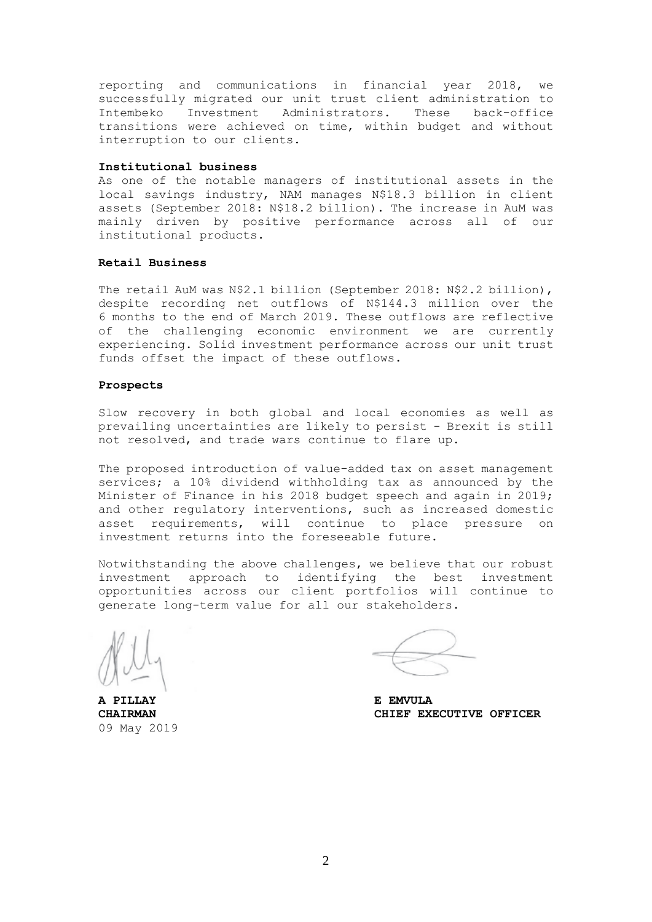reporting and communications in financial year 2018, we successfully migrated our unit trust client administration to Intembeko Investment Administrators. These back-office transitions were achieved on time, within budget and without interruption to our clients.

#### **Institutional business**

As one of the notable managers of institutional assets in the local savings industry, NAM manages N\$18.3 billion in client assets (September 2018: N\$18.2 billion). The increase in AuM was mainly driven by positive performance across all of our institutional products.

### **Retail Business**

The retail AuM was N\$2.1 billion (September 2018: N\$2.2 billion), despite recording net outflows of N\$144.3 million over the 6 months to the end of March 2019. These outflows are reflective of the challenging economic environment we are currently experiencing. Solid investment performance across our unit trust funds offset the impact of these outflows.

#### **Prospects**

Slow recovery in both global and local economies as well as prevailing uncertainties are likely to persist - Brexit is still not resolved, and trade wars continue to flare up.

The proposed introduction of value-added tax on asset management services; a 10% dividend withholding tax as announced by the Minister of Finance in his 2018 budget speech and again in 2019; and other regulatory interventions, such as increased domestic asset requirements, will continue to place pressure on investment returns into the foreseeable future.

Notwithstanding the above challenges, we believe that our robust investment approach to identifying the best investment opportunities across our client portfolios will continue to generate long-term value for all our stakeholders.

**A PILLAY E EMVULA** 09 May 2019

**CHAIRMAN CHIEF EXECUTIVE OFFICER**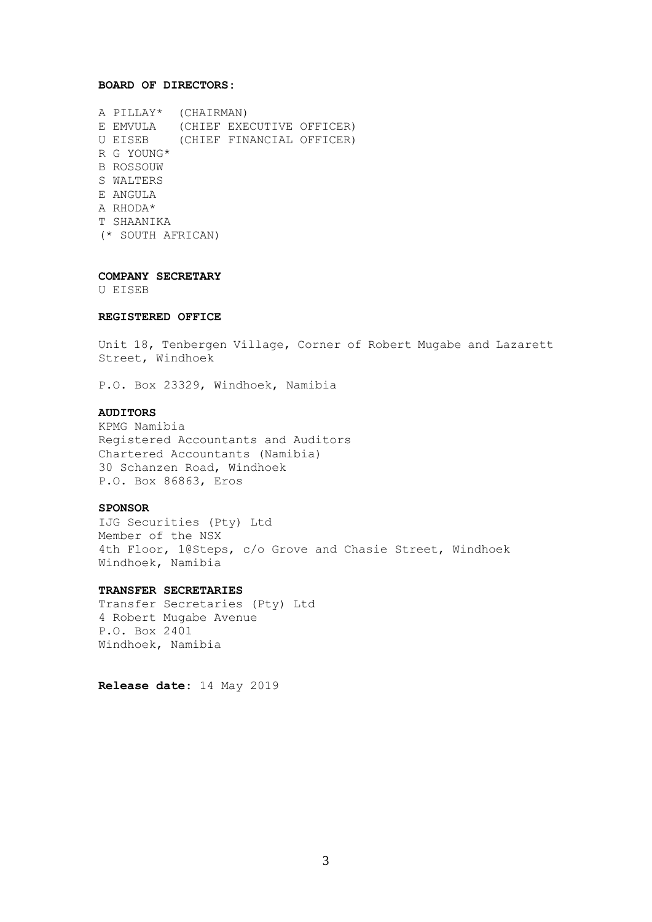#### **BOARD OF DIRECTORS:**

A PILLAY\* (CHAIRMAN) E EMVULA (CHIEF EXECUTIVE OFFICER) U EISEB (CHIEF FINANCIAL OFFICER) R G YOUNG\* B ROSSOUW S WALTERS E ANGULA A RHODA\* T SHAANIKA (\* SOUTH AFRICAN)

**COMPANY SECRETARY** 

U EISEB

## **REGISTERED OFFICE**

Unit 18, Tenbergen Village, Corner of Robert Mugabe and Lazarett Street, Windhoek

P.O. Box 23329, Windhoek, Namibia

## **AUDITORS**

KPMG Namibia Registered Accountants and Auditors Chartered Accountants (Namibia) 30 Schanzen Road, Windhoek P.O. Box 86863, Eros

### **SPONSOR**

IJG Securities (Pty) Ltd Member of the NSX 4th Floor, 1@Steps, c/o Grove and Chasie Street, Windhoek Windhoek, Namibia

#### **TRANSFER SECRETARIES**

Transfer Secretaries (Pty) Ltd 4 Robert Mugabe Avenue P.O. Box 2401 Windhoek, Namibia

**Release date**: 14 May 2019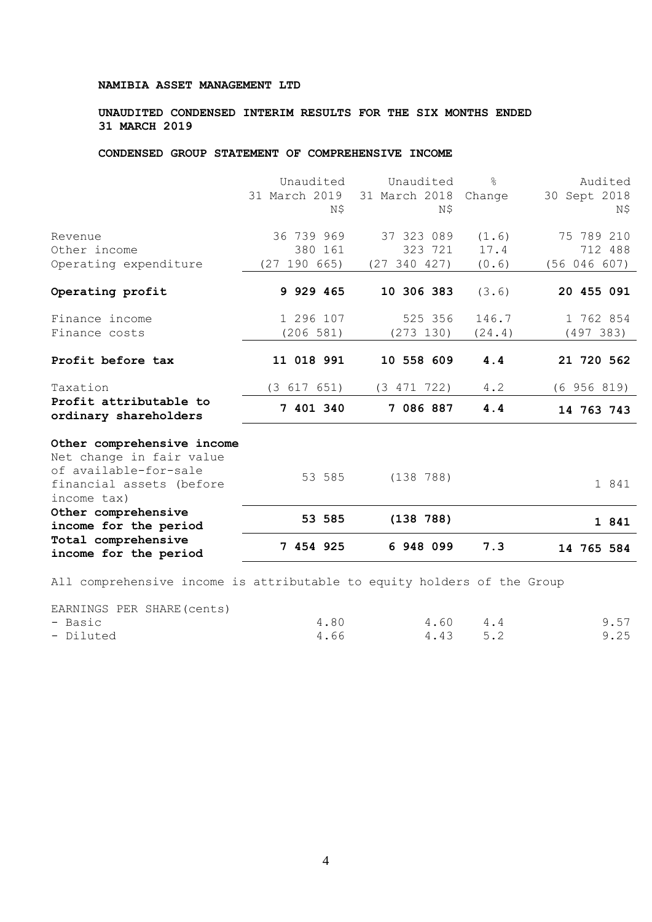## **UNAUDITED CONDENSED INTERIM RESULTS FOR THE SIX MONTHS ENDED 31 MARCH 2019**

# **CONDENSED GROUP STATEMENT OF COMPREHENSIVE INCOME**

|                                                                                                                            | Unaudited<br>31 March 2019<br>N\$ | Unaudited<br>31 March 2018<br>Ν\$ | $\approx$<br>Change | Audited<br>30 Sept 2018<br>N\$ |
|----------------------------------------------------------------------------------------------------------------------------|-----------------------------------|-----------------------------------|---------------------|--------------------------------|
| Revenue<br>Other income                                                                                                    | 36 739 969<br>380 161             | 37 323 089<br>323 721             | (1.6)<br>17.4       | 75 789 210<br>712 488          |
| Operating expenditure                                                                                                      | (27 190 665)                      | (27 340 427)                      | (0.6)               | (56 046 607)                   |
| Operating profit                                                                                                           | 9 929 465                         | 10 306 383                        | (3.6)               | 20 455 091                     |
| Finance income<br>Finance costs                                                                                            | 1 296 107<br>(206 581)            | 525 356<br>(273 130)              | 146.7<br>(24.4)     | 1 762 854<br>(497 383)         |
| Profit before tax                                                                                                          | 11 018 991                        | 10 558 609                        | 4.4                 | 21 720 562                     |
| Taxation                                                                                                                   | (3 617 651)                       | (3 471 722)                       | 4.2                 | (6956819)                      |
| Profit attributable to<br>ordinary shareholders                                                                            | 7 401 340                         | 7 086 887                         | 4.4                 | 14 763 743                     |
| Other comprehensive income<br>Net change in fair value<br>of available-for-sale<br>financial assets (before<br>income tax) | 53 585                            | (138 788)                         |                     | 1 841                          |
| Other comprehensive<br>income for the period                                                                               | 53 585                            | (138 788)                         |                     | 1 841                          |
| Total comprehensive<br>income for the period                                                                               | 7 454 925                         | 6 948 099                         | 7.3                 | 14 765 584                     |

All comprehensive income is attributable to equity holders of the Group

EARNINGS PER SHARE(cents)

| - Basic   | 4.80 | 4.60 4.4 | 9.57 |
|-----------|------|----------|------|
| - Diluted | 4.66 | 4.43 5.2 | 9.25 |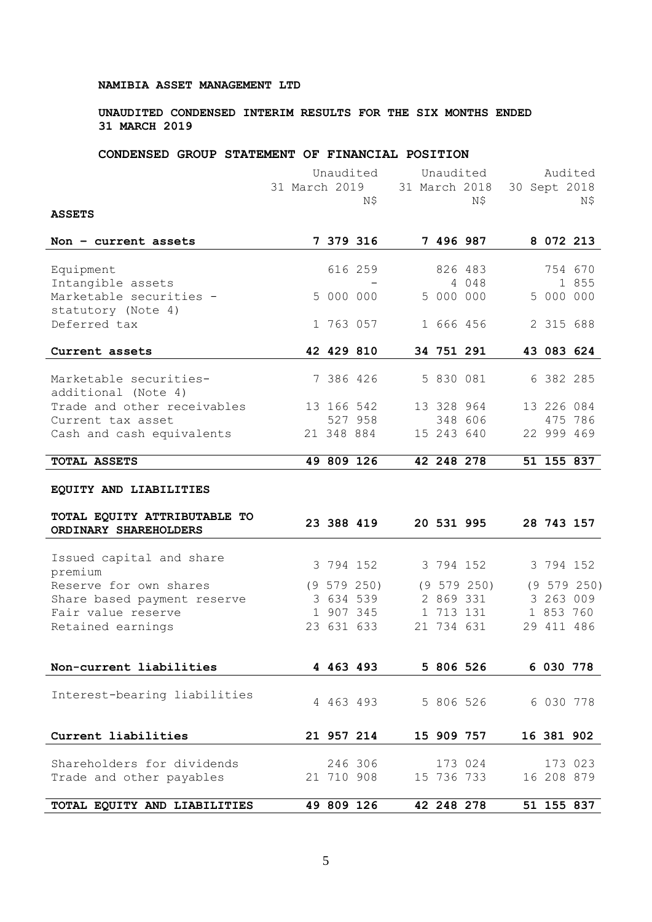## **UNAUDITED CONDENSED INTERIM RESULTS FOR THE SIX MONTHS ENDED 31 MARCH 2019**

# **CONDENSED GROUP STATEMENT OF FINANCIAL POSITION**

|                                                       |               | Unaudited  |                 | Unaudited     |            |                 | Audited |            |             |  |
|-------------------------------------------------------|---------------|------------|-----------------|---------------|------------|-----------------|---------|------------|-------------|--|
|                                                       | 31 March 2019 |            |                 | 31 March 2018 |            | 30 Sept 2018    |         |            |             |  |
|                                                       |               |            | N\$             |               |            | N\$             |         |            | Ν\$         |  |
| <b>ASSETS</b>                                         |               |            |                 |               |            |                 |         |            |             |  |
| Non $-$ current assets                                |               |            | 7 379 316       |               |            | 7 496 987       |         |            | 8 072 213   |  |
| Equipment                                             |               |            | 616 259         |               |            | 826 483         |         |            | 754 670     |  |
| Intangible assets                                     |               |            |                 |               |            | 4 0 4 8         |         |            | 1 855       |  |
| Marketable securities -<br>statutory (Note 4)         |               | 5 000 000  |                 |               | 5 000 000  |                 |         | 5 000 000  |             |  |
| Deferred tax                                          |               | 1 763 057  |                 |               | 1 666 456  |                 |         | 2 315 688  |             |  |
| Current assets                                        |               | 42 429 810 |                 |               | 34 751 291 |                 |         |            | 43 083 624  |  |
|                                                       |               |            |                 |               |            |                 |         |            |             |  |
| Marketable securities-<br>additional (Note 4)         |               | 7 386 426  |                 |               | 5 830 081  |                 |         | 6 382 285  |             |  |
| Trade and other receivables                           |               | 13 166 542 |                 |               | 13 328 964 |                 |         | 13 226 084 |             |  |
| Current tax asset                                     |               |            | 527 958         |               |            | 348 606         |         |            | 475 786     |  |
| Cash and cash equivalents                             |               | 21 348 884 |                 |               | 15 243 640 |                 |         |            | 22 999 469  |  |
| TOTAL ASSETS                                          |               |            | 49 809 126      |               | 42 248 278 |                 |         |            | 51 155 837  |  |
| EQUITY AND LIABILITIES                                |               |            |                 |               |            |                 |         |            |             |  |
|                                                       |               |            |                 |               |            |                 |         |            |             |  |
| TOTAL EQUITY ATTRIBUTABLE TO<br>ORDINARY SHAREHOLDERS |               | 23 388 419 |                 |               | 20 531 995 |                 |         |            | 28 743 157  |  |
|                                                       |               |            |                 |               |            |                 |         |            |             |  |
| Issued capital and share                              |               |            |                 |               |            |                 |         |            |             |  |
| premium                                               |               | 3 794 152  |                 |               | 3 794 152  |                 |         | 3 794 152  |             |  |
| Reserve for own shares                                |               |            | $(9\ 579\ 250)$ |               |            | $(9\ 579\ 250)$ |         |            | (9 579 250) |  |
| Share based payment reserve                           |               |            | 3 634 539       |               |            | 2 869 331       |         |            | 3 263 009   |  |
| Fair value reserve                                    |               |            | 1 907 345       |               |            | 1 713 131       |         |            | 1 853 760   |  |
| Retained earnings                                     |               | 23 631 633 |                 |               | 21 734 631 |                 |         | 29 411 486 |             |  |
|                                                       |               |            |                 |               |            |                 |         |            |             |  |
| Non-current liabilities                               |               | 4 463 493  |                 |               | 5 806 526  |                 |         | 6 030 778  |             |  |
|                                                       |               |            |                 |               |            |                 |         |            |             |  |
| Interest-bearing liabilities                          |               |            | 4 463 493       |               | 5 806 526  |                 |         | 6 030 778  |             |  |
|                                                       |               |            |                 |               |            |                 |         |            |             |  |
| Current liabilities                                   |               | 21 957 214 |                 |               | 15 909 757 |                 |         | 16 381 902 |             |  |
| Shareholders for dividends                            |               |            | 246 306         |               |            | 173 024         |         |            | 173 023     |  |
| Trade and other payables                              |               | 21 710 908 |                 |               | 15 736 733 |                 |         | 16 208 879 |             |  |
| TOTAL EQUITY AND LIABILITIES                          |               | 49 809 126 |                 |               | 42 248 278 |                 |         |            | 51 155 837  |  |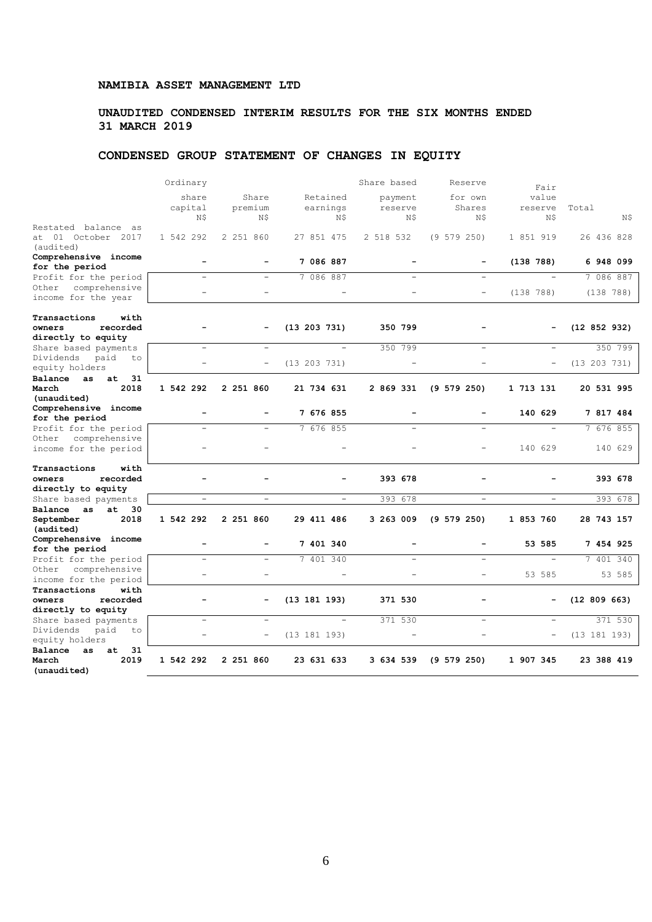# **UNAUDITED CONDENSED INTERIM RESULTS FOR THE SIX MONTHS ENDED 31 MARCH 2019**

# **CONDENSED GROUP STATEMENT OF CHANGES IN EQUITY**

|                                                                  | Ordinary                 |                          |                             | Share based               | Reserve                  | Fair                     |              |
|------------------------------------------------------------------|--------------------------|--------------------------|-----------------------------|---------------------------|--------------------------|--------------------------|--------------|
|                                                                  | share<br>capital<br>N\$  | Share<br>premium<br>Ν\$  | Retained<br>earnings<br>Ν\$ | payment<br>reserve<br>Ν\$ | for own<br>Shares<br>N\$ | value<br>reserve<br>N\$  | Total<br>N\$ |
| Restated balance as<br>at 01 October 2017<br>(audited)           | 1 542 292                | 2 251 860                | 27 851 475                  | 2 518 532                 | (9 579 250)              | 1 851 919                | 26 436 828   |
| Comprehensive income<br>for the period                           | $\sim$                   |                          | 7 086 887                   |                           |                          | (138 788)                | 6 948 099    |
| Profit for the period                                            | $\sim$                   | $\equiv$                 | 7 086 887                   |                           | $\equiv$                 |                          | 7 086 887    |
| comprehensive<br>Other<br>income for the year                    |                          |                          |                             |                           | $\overline{\phantom{a}}$ | (138 788)                | (138 788)    |
| Transactions<br>with<br>recorded<br>owners<br>directly to equity | $\overline{\phantom{0}}$ |                          | (13 203 731)                | 350 799                   | $\overline{\phantom{0}}$ |                          | (12 852 932) |
| Share based payments                                             | $\overline{a}$           |                          | $\overline{a}$              | 350 799                   | $\overline{\phantom{0}}$ | ۳                        | 350 799      |
| Dividends<br>paid<br>to<br>equity holders                        |                          | $\overline{\phantom{0}}$ | (13 203 731)                |                           |                          | $\qquad \qquad -$        | (13 203 731) |
| Balance<br>31<br>as<br>at.<br>2018<br>March<br>(unaudited)       | 1 542 292                | 2 251 860                | 21 734 631                  | 2 869 331                 | $(9\ 579\ 250)$          | 1 713 131                | 20 531 995   |
| Comprehensive income                                             | ÷                        |                          | 7 676 855                   |                           |                          | 140 629                  | 7 817 484    |
| for the period                                                   | $\sim$                   | $\overline{\phantom{a}}$ | 7 676 855                   |                           |                          | $\overline{\phantom{a}}$ |              |
| Profit for the period<br>comprehensive<br>Other                  |                          |                          |                             |                           |                          |                          | 7 676 855    |
| income for the period                                            |                          |                          |                             |                           | ÷                        | 140 629                  | 140 629      |
| Transactions<br>with<br>recorded<br>owners<br>directly to equity |                          |                          |                             | 393 678                   |                          |                          | 393 678      |
| Share based payments                                             |                          | $\qquad \qquad -$        |                             | 393<br>678                | $\overline{\phantom{a}}$ |                          | 393 678      |
| at<br>30<br>Balance as<br>2018<br>September<br>(audited)         | 1 542 292                | 2 251 860                | 29 411 486                  | 3 263 009                 | $(9\ 579\ 250)$          | 1 853 760                | 28 743 157   |
| Comprehensive income<br>for the period                           | ÷                        |                          | 7 401 340                   |                           | $\overline{\phantom{0}}$ | 53 585                   | 7 454 925    |
| Profit for the period                                            | $\sim$                   |                          | 7 401 340                   |                           | L.                       |                          | 7 401 340    |
| comprehensive<br>Other<br>income for the period                  |                          |                          |                             |                           | ÷                        | 53 585                   | 53 585       |
| Transactions<br>with<br>recorded<br>owners                       |                          |                          | (13 181 193)                | 371 530                   |                          |                          | (12 809 663) |
| directly to equity                                               |                          |                          |                             |                           |                          |                          |              |
| Share based payments                                             | $\sim$                   | $\overline{a}$           | $\overline{a}$              | 371 530                   | $\equiv$                 | $\equiv$                 | 371 530      |
| Dividends<br>paid<br>to<br>equity holders                        | ÷                        | $\overline{\phantom{0}}$ | (13 181 193)                |                           | ÷                        | $\overline{\phantom{0}}$ | (13 181 193) |
| Balance<br>31<br>as<br>at<br>March<br>2019<br>(unaudited)        | 1 542 292                | 2 251 860                | 23 631 633                  | 3 634 539                 | $(9\ 579\ 250)$          | 1 907 345                | 23 388 419   |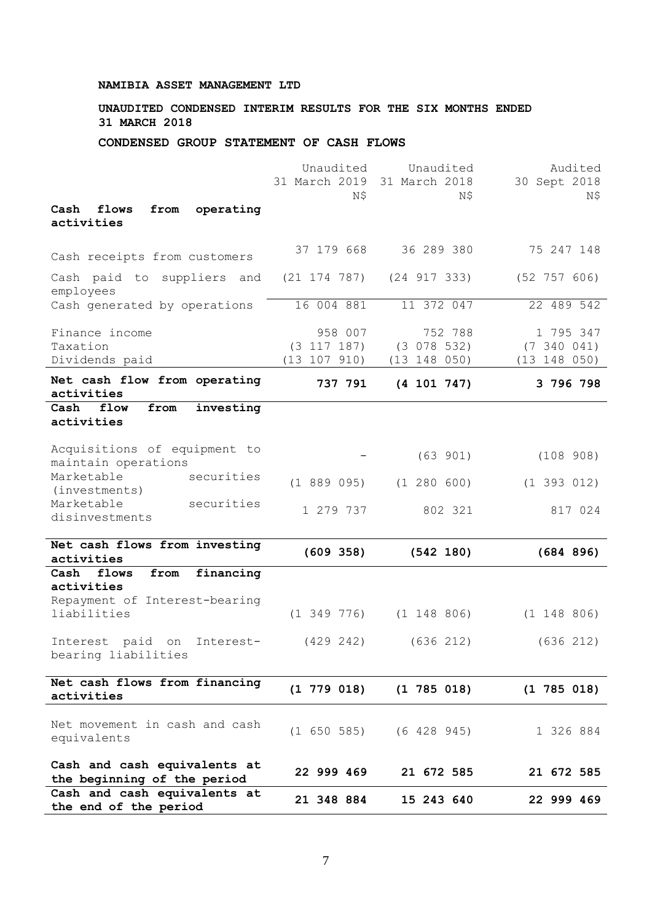# **UNAUDITED CONDENSED INTERIM RESULTS FOR THE SIX MONTHS ENDED 31 MARCH 2018**

## **CONDENSED GROUP STATEMENT OF CASH FLOWS**

| Cash and cash equivalents at<br>the end of the period                                            | 21 348 884                        | 15 243 640                        | 22 999 469                     |
|--------------------------------------------------------------------------------------------------|-----------------------------------|-----------------------------------|--------------------------------|
| Cash and cash equivalents at<br>the beginning of the period                                      | 22 999 469                        | 21 672 585                        | 21 672 585                     |
| Net movement in cash and cash<br>equivalents                                                     |                                   | $(1\ 650\ 585)$ $(6\ 428\ 945)$   | 1 326 884                      |
| Net cash flows from financing<br>activities                                                      | $(1\ 779\ 018)$                   | $(1\ 785\ 018)$                   | $(1\ 785\ 018)$                |
| Interest paid on<br>Interest-<br>bearing liabilities                                             | (429 242)                         | (636 212)                         | (636 212)                      |
| financing<br>Cash<br>flows<br>from<br>activities<br>Repayment of Interest-bearing<br>liabilities | $(1\;349\;776)$                   | $(1\ 148\ 806)$                   | $(1\ 148\ 806)$                |
| Net cash flows from investing<br>activities                                                      | (609 358)                         | (542 180)                         | (684 896)                      |
| Marketable<br>securities<br>disinvestments                                                       | 1 279 737                         | 802 321                           | 817 024                        |
| Marketable<br>securities<br>(investments)                                                        | (188909)                          | (1 280 600)                       | (1 393 012)                    |
| Acquisitions of equipment to<br>maintain operations                                              |                                   | (63 901)                          | (108908)                       |
| Cash<br>flow<br>from<br>investing<br>activities                                                  |                                   |                                   |                                |
| Net cash flow from operating<br>activities                                                       | 737 791                           | (4 101 747)                       | 3 796 798                      |
| Dividends paid                                                                                   | $(3\ 117\ 187)$<br>(13 107 910)   | (3 078 532)<br>(13 148 050)       | (7 340 041)<br>(13 148 050)    |
| Finance income<br>Taxation                                                                       | 958 007                           | 752 788                           | 1 795 347                      |
| employees<br>Cash generated by operations                                                        | 16 004 881                        | 11 372 047                        | 22 489 542                     |
| Cash paid to suppliers and                                                                       | $(21\ 174\ 787)$                  | (24 917 333)                      | (52 757 606)                   |
| Cash receipts from customers                                                                     | 37 179 668                        | 36 289 380                        | 75 247 148                     |
| operating<br>Cash<br>flows<br>from<br>activities                                                 |                                   |                                   |                                |
|                                                                                                  | Unaudited<br>31 March 2019<br>Ν\$ | Unaudited<br>31 March 2018<br>Ν\$ | Audited<br>30 Sept 2018<br>N\$ |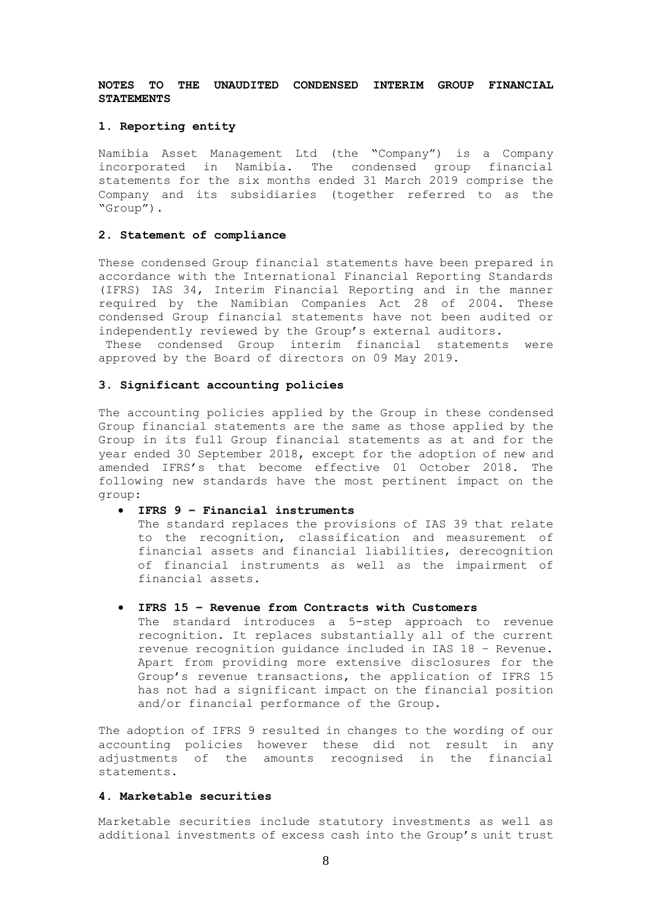## **NOTES TO THE UNAUDITED CONDENSED INTERIM GROUP FINANCIAL STATEMENTS**

#### **1. Reporting entity**

Namibia Asset Management Ltd (the "Company") is a Company incorporated in Namibia. The condensed group financial statements for the six months ended 31 March 2019 comprise the Company and its subsidiaries (together referred to as the "Group").

### **2. Statement of compliance**

These condensed Group financial statements have been prepared in accordance with the International Financial Reporting Standards (IFRS) IAS 34, Interim Financial Reporting and in the manner required by the Namibian Companies Act 28 of 2004. These condensed Group financial statements have not been audited or independently reviewed by the Group's external auditors.

These condensed Group interim financial statements were approved by the Board of directors on 09 May 2019.

#### **3. Significant accounting policies**

The accounting policies applied by the Group in these condensed Group financial statements are the same as those applied by the Group in its full Group financial statements as at and for the year ended 30 September 2018, except for the adoption of new and amended IFRS's that become effective 01 October 2018. The following new standards have the most pertinent impact on the group:

#### • **IFRS 9 – Financial instruments**

The standard replaces the provisions of IAS 39 that relate to the recognition, classification and measurement of financial assets and financial liabilities, derecognition of financial instruments as well as the impairment of financial assets.

#### • **IFRS 15 – Revenue from Contracts with Customers**

The standard introduces a 5-step approach to revenue recognition. It replaces substantially all of the current revenue recognition guidance included in IAS 18 – Revenue. Apart from providing more extensive disclosures for the Group's revenue transactions, the application of IFRS 15 has not had a significant impact on the financial position and/or financial performance of the Group.

The adoption of IFRS 9 resulted in changes to the wording of our accounting policies however these did not result in any adjustments of the amounts recognised in the financial statements.

## **4. Marketable securities**

Marketable securities include statutory investments as well as additional investments of excess cash into the Group's unit trust